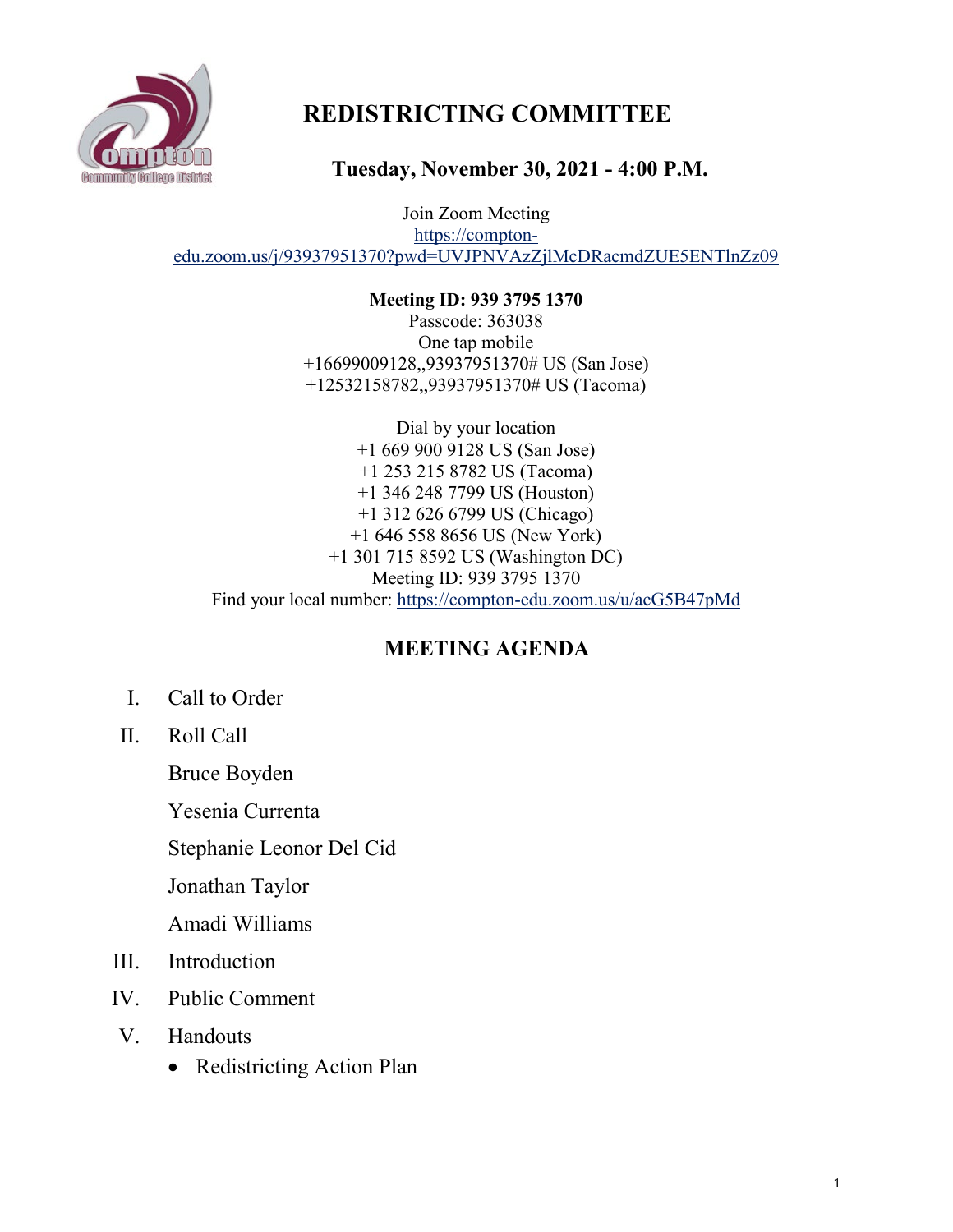

# **REDISTRICTING COMMITTEE**

**Tuesday, November 30, 2021 - 4:00 P.M.**

Join Zoom Meeting [https://compton](https://compton-edu.zoom.us/j/93937951370?pwd=UVJPNVAzZjlMcDRacmdZUE5ENTlnZz09)[edu.zoom.us/j/93937951370?pwd=UVJPNVAzZjlMcDRacmdZUE5ENTlnZz09](https://compton-edu.zoom.us/j/93937951370?pwd=UVJPNVAzZjlMcDRacmdZUE5ENTlnZz09)

> **Meeting ID: 939 3795 1370**  Passcode: 363038 One tap mobile +16699009128,,93937951370# US (San Jose) +12532158782,,93937951370# US (Tacoma)

Dial by your location +1 669 900 9128 US (San Jose) +1 253 215 8782 US (Tacoma) +1 346 248 7799 US (Houston) +1 312 626 6799 US (Chicago) +1 646 558 8656 US (New York) +1 301 715 8592 US (Washington DC) Meeting ID: 939 3795 1370 Find your local number:<https://compton-edu.zoom.us/u/acG5B47pMd>

## **MEETING AGENDA**

- I. Call to Order
- II. Roll Call

Bruce Boyden

Yesenia Currenta

Stephanie Leonor Del Cid

Jonathan Taylor

Amadi Williams

- III. Introduction
- IV. Public Comment
- V. Handouts
	- Redistricting Action Plan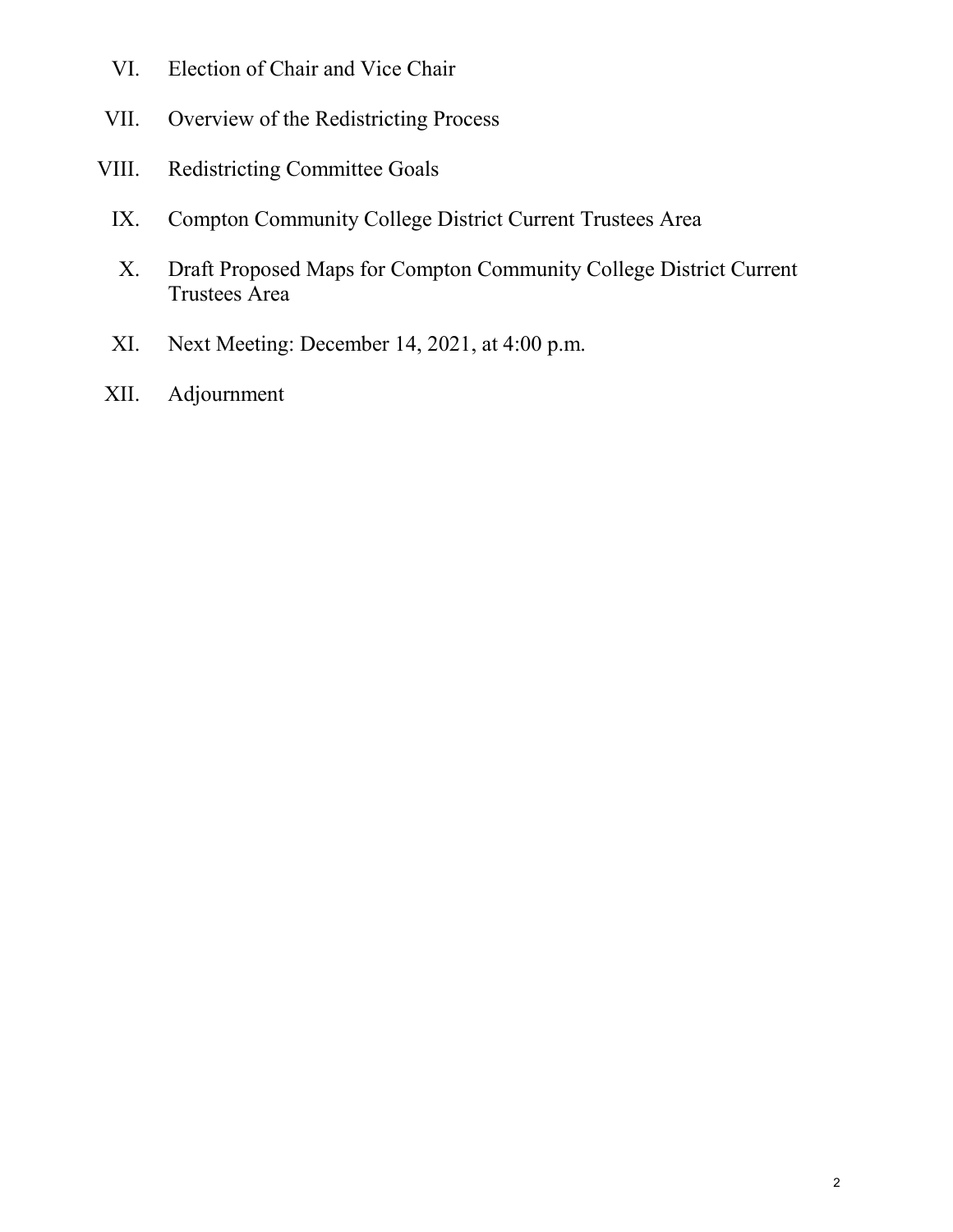- VI. Election of Chair and Vice Chair
- VII. Overview of the Redistricting Process
- VIII. Redistricting Committee Goals
	- IX. Compton Community College District Current Trustees Area
	- X. Draft Proposed Maps for Compton Community College District Current Trustees Area
	- XI. Next Meeting: December 14, 2021, at 4:00 p.m.
- XII. Adjournment